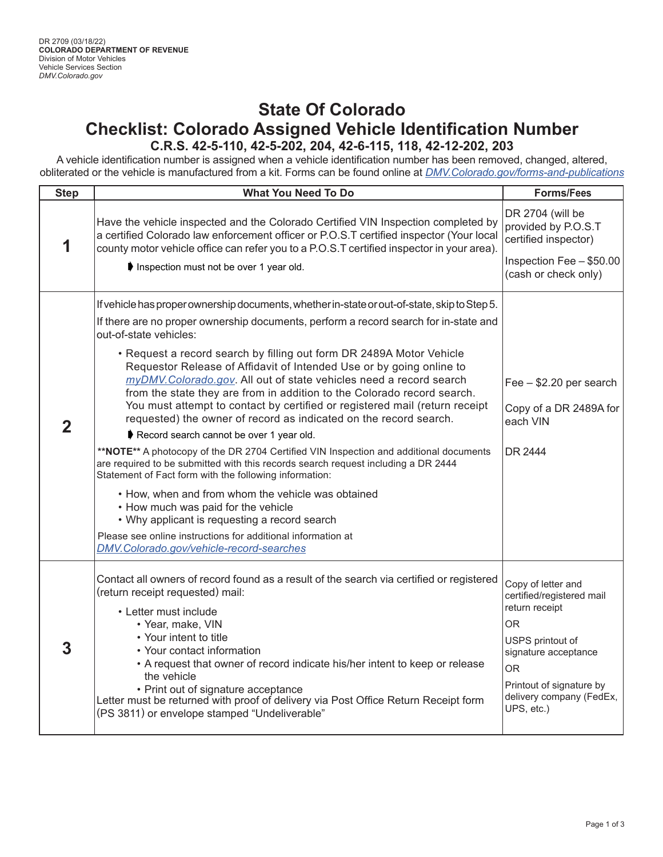## **State Of Colorado Checklist: Colorado Assigned Vehicle Identification Number C.R.S. 42-5-110, 42-5-202, 204, 42-6-115, 118, 42-12-202, 203**

A vehicle identification number is assigned when a vehicle identification number has been removed, changed, altered, obliterated or the vehicle is manufactured from a kit. Forms can be found online at *[DMV.Colorado.gov/forms-and-publications](http://DMV.Colorado.gov/forms-and-publications)*

| <b>Step</b>    | <b>What You Need To Do</b>                                                                                                                                                                                                                                                                                                                                                                                                                                                                                                                                                                                                                                                                                                                                                                                                                                                                                                                                                                                                                                                                                                                                                                                         | <b>Forms/Fees</b>                                                                                                                                                                                       |
|----------------|--------------------------------------------------------------------------------------------------------------------------------------------------------------------------------------------------------------------------------------------------------------------------------------------------------------------------------------------------------------------------------------------------------------------------------------------------------------------------------------------------------------------------------------------------------------------------------------------------------------------------------------------------------------------------------------------------------------------------------------------------------------------------------------------------------------------------------------------------------------------------------------------------------------------------------------------------------------------------------------------------------------------------------------------------------------------------------------------------------------------------------------------------------------------------------------------------------------------|---------------------------------------------------------------------------------------------------------------------------------------------------------------------------------------------------------|
| 1              | Have the vehicle inspected and the Colorado Certified VIN Inspection completed by<br>a certified Colorado law enforcement officer or P.O.S.T certified inspector (Your local<br>county motor vehicle office can refer you to a P.O.S.T certified inspector in your area).<br>Inspection must not be over 1 year old.                                                                                                                                                                                                                                                                                                                                                                                                                                                                                                                                                                                                                                                                                                                                                                                                                                                                                               | DR 2704 (will be<br>provided by P.O.S.T<br>certified inspector)<br>Inspection Fee - \$50.00<br>(cash or check only)                                                                                     |
| $\overline{2}$ | If vehicle has proper ownership documents, whether in-state or out-of-state, skip to Step 5.<br>If there are no proper ownership documents, perform a record search for in-state and<br>out-of-state vehicles:<br>• Request a record search by filling out form DR 2489A Motor Vehicle<br>Requestor Release of Affidavit of Intended Use or by going online to<br>myDMV. Colorado.gov. All out of state vehicles need a record search<br>from the state they are from in addition to the Colorado record search.<br>You must attempt to contact by certified or registered mail (return receipt<br>requested) the owner of record as indicated on the record search.<br>Record search cannot be over 1 year old.<br>**NOTE** A photocopy of the DR 2704 Certified VIN Inspection and additional documents<br>are required to be submitted with this records search request including a DR 2444<br>Statement of Fact form with the following information:<br>• How, when and from whom the vehicle was obtained<br>• How much was paid for the vehicle<br>• Why applicant is requesting a record search<br>Please see online instructions for additional information at<br>DMV.Colorado.gov/vehicle-record-searches | Fee - \$2.20 per search<br>Copy of a DR 2489A for<br>each VIN<br>DR 2444                                                                                                                                |
| 3              | Contact all owners of record found as a result of the search via certified or registered<br>(return receipt requested) mail:<br>• Letter must include<br>• Year, make, VIN<br>• Your intent to title<br>• Your contact information<br>• A request that owner of record indicate his/her intent to keep or release<br>the vehicle<br>• Print out of signature acceptance<br>Letter must be returned with proof of delivery via Post Office Return Receipt form<br>(PS 3811) or envelope stamped "Undeliverable"                                                                                                                                                                                                                                                                                                                                                                                                                                                                                                                                                                                                                                                                                                     | Copy of letter and<br>certified/registered mail<br>return receipt<br><b>OR</b><br>USPS printout of<br>signature acceptance<br>OR.<br>Printout of signature by<br>delivery company (FedEx,<br>UPS, etc.) |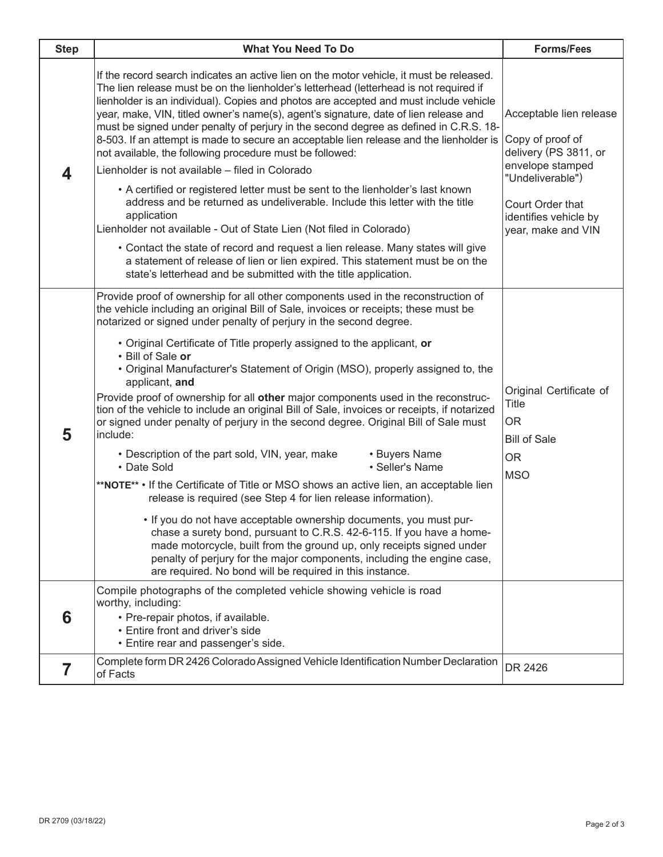| <b>Step</b> | <b>What You Need To Do</b>                                                                                                                                                                                                                                                                                                                                                                                                                                                                                                                                                                                                                                                                                                                                                                                                                                                                                                                                                                                                                                                                                                                                                                                                                                                                                                                                                | <b>Forms/Fees</b>                                                                                                                                                               |
|-------------|---------------------------------------------------------------------------------------------------------------------------------------------------------------------------------------------------------------------------------------------------------------------------------------------------------------------------------------------------------------------------------------------------------------------------------------------------------------------------------------------------------------------------------------------------------------------------------------------------------------------------------------------------------------------------------------------------------------------------------------------------------------------------------------------------------------------------------------------------------------------------------------------------------------------------------------------------------------------------------------------------------------------------------------------------------------------------------------------------------------------------------------------------------------------------------------------------------------------------------------------------------------------------------------------------------------------------------------------------------------------------|---------------------------------------------------------------------------------------------------------------------------------------------------------------------------------|
| 4           | If the record search indicates an active lien on the motor vehicle, it must be released.<br>The lien release must be on the lienholder's letterhead (letterhead is not required if<br>lienholder is an individual). Copies and photos are accepted and must include vehicle<br>year, make, VIN, titled owner's name(s), agent's signature, date of lien release and<br>must be signed under penalty of perjury in the second degree as defined in C.R.S. 18-<br>8-503. If an attempt is made to secure an acceptable lien release and the lienholder is<br>not available, the following procedure must be followed:<br>Lienholder is not available - filed in Colorado                                                                                                                                                                                                                                                                                                                                                                                                                                                                                                                                                                                                                                                                                                    | Acceptable lien release<br>Copy of proof of<br>delivery (PS 3811, or<br>envelope stamped<br>"Undeliverable")<br>Court Order that<br>identifies vehicle by<br>year, make and VIN |
|             | • A certified or registered letter must be sent to the lienholder's last known<br>address and be returned as undeliverable. Include this letter with the title<br>application<br>Lienholder not available - Out of State Lien (Not filed in Colorado)<br>• Contact the state of record and request a lien release. Many states will give<br>a statement of release of lien or lien expired. This statement must be on the<br>state's letterhead and be submitted with the title application.                                                                                                                                                                                                                                                                                                                                                                                                                                                                                                                                                                                                                                                                                                                                                                                                                                                                              |                                                                                                                                                                                 |
| 5           | Provide proof of ownership for all other components used in the reconstruction of<br>the vehicle including an original Bill of Sale, invoices or receipts; these must be<br>notarized or signed under penalty of perjury in the second degree.<br>• Original Certificate of Title properly assigned to the applicant, or<br>• Bill of Sale or<br>• Original Manufacturer's Statement of Origin (MSO), properly assigned to, the<br>applicant, and<br>Provide proof of ownership for all other major components used in the reconstruc-<br>tion of the vehicle to include an original Bill of Sale, invoices or receipts, if notarized<br>or signed under penalty of perjury in the second degree. Original Bill of Sale must<br>include:<br>• Buyers Name<br>• Description of the part sold, VIN, year, make<br>· Seller's Name<br>• Date Sold<br>**NOTE** • If the Certificate of Title or MSO shows an active lien, an acceptable lien<br>release is required (see Step 4 for lien release information).<br>. If you do not have acceptable ownership documents, you must pur-<br>chase a surety bond, pursuant to C.R.S. 42-6-115. If you have a home-<br>made motorcycle, built from the ground up, only receipts signed under<br>penalty of perjury for the major components, including the engine case,<br>are required. No bond will be required in this instance. | Original Certificate of<br>Title<br>OR<br><b>Bill of Sale</b><br><b>OR</b><br><b>MSO</b>                                                                                        |
| 6           | Compile photographs of the completed vehicle showing vehicle is road<br>worthy, including:<br>• Pre-repair photos, if available.<br>• Entire front and driver's side<br>• Entire rear and passenger's side.                                                                                                                                                                                                                                                                                                                                                                                                                                                                                                                                                                                                                                                                                                                                                                                                                                                                                                                                                                                                                                                                                                                                                               |                                                                                                                                                                                 |
| 7           | Complete form DR 2426 Colorado Assigned Vehicle Identification Number Declaration<br>of Facts                                                                                                                                                                                                                                                                                                                                                                                                                                                                                                                                                                                                                                                                                                                                                                                                                                                                                                                                                                                                                                                                                                                                                                                                                                                                             | DR 2426                                                                                                                                                                         |